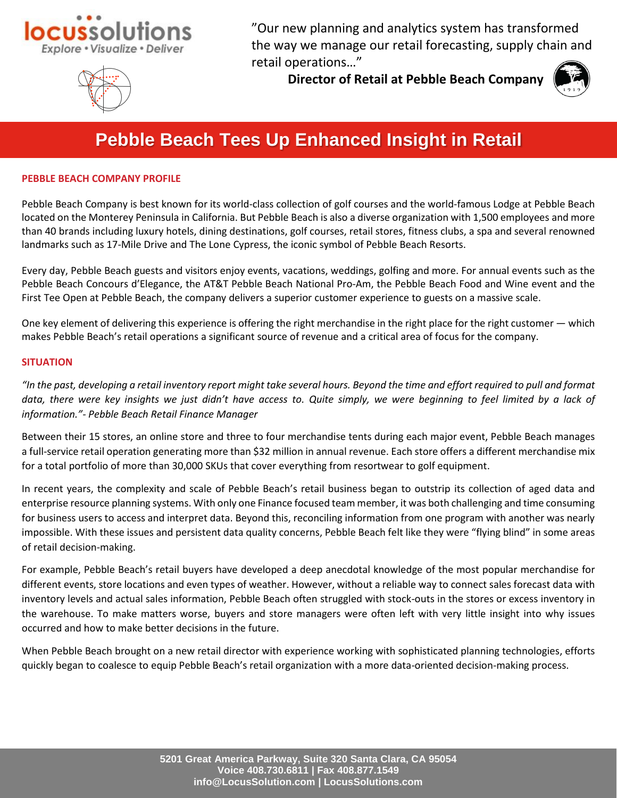



"Our new planning and analytics system has transformed the way we manage our retail forecasting, supply chain and retail operations…"

**Director of Retail at Pebble Beach Company**



# **Pebble Beach Tees Up Enhanced Insight in Retail**

# **PEBBLE BEACH COMPANY PROFILE**

Pebble Beach Company is best known for its world-class collection of golf courses and the world-famous Lodge at Pebble Beach located on the Monterey Peninsula in California. But Pebble Beach is also a diverse organization with 1,500 employees and more than 40 brands including luxury hotels, dining destinations, golf courses, retail stores, fitness clubs, a spa and several renowned landmarks such as 17-Mile Drive and The Lone Cypress, the iconic symbol of Pebble Beach Resorts.

Every day, Pebble Beach guests and visitors enjoy events, vacations, weddings, golfing and more. For annual events such as the Pebble Beach Concours d'Elegance, the AT&T Pebble Beach National Pro-Am, the Pebble Beach Food and Wine event and the First Tee Open at Pebble Beach, the company delivers a superior customer experience to guests on a massive scale.

One key element of delivering this experience is offering the right merchandise in the right place for the right customer — which makes Pebble Beach's retail operations a significant source of revenue and a critical area of focus for the company.

## **SITUATION**

*"In the past, developing a retail inventory report might take several hours. Beyond the time and effort required to pull and format data, there were key insights we just didn't have access to. Quite simply, we were beginning to feel limited by a lack of information."- Pebble Beach Retail Finance Manager*

Between their 15 stores, an online store and three to four merchandise tents during each major event, Pebble Beach manages a full-service retail operation generating more than \$32 million in annual revenue. Each store offers a different merchandise mix for a total portfolio of more than 30,000 SKUs that cover everything from resortwear to golf equipment.

In recent years, the complexity and scale of Pebble Beach's retail business began to outstrip its collection of aged data and enterprise resource planning systems. With only one Finance focused team member, it was both challenging and time consuming for business users to access and interpret data. Beyond this, reconciling information from one program with another was nearly impossible. With these issues and persistent data quality concerns, Pebble Beach felt like they were "flying blind" in some areas of retail decision-making.

For example, Pebble Beach's retail buyers have developed a deep anecdotal knowledge of the most popular merchandise for different events, store locations and even types of weather. However, without a reliable way to connect sales forecast data with inventory levels and actual sales information, Pebble Beach often struggled with stock-outs in the stores or excess inventory in the warehouse. To make matters worse, buyers and store managers were often left with very little insight into why issues occurred and how to make better decisions in the future.

When Pebble Beach brought on a new retail director with experience working with sophisticated planning technologies, efforts quickly began to coalesce to equip Pebble Beach's retail organization with a more data-oriented decision-making process.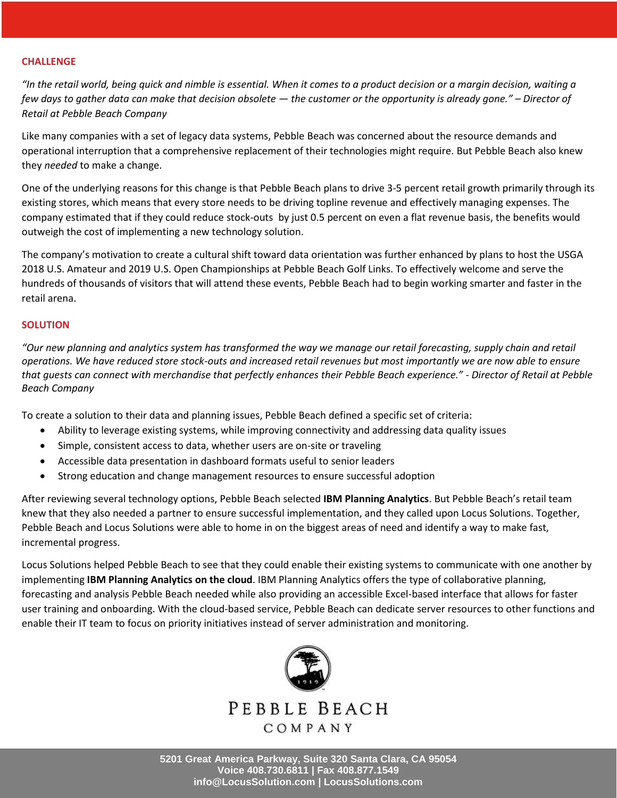## **CHALLENGE**

*"In the retail world, being quick and nimble is essential. When it comes to a product decision or a margin decision, waiting a few days to gather data can make that decision obsolete — the customer or the opportunity is already gone." – Director of Retail at Pebble Beach Company*

Like many companies with a set of legacy data systems, Pebble Beach was concerned about the resource demands and operational interruption that a comprehensive replacement of their technologies might require. But Pebble Beach also knew they *needed* to make a change.

One of the underlying reasons for this change is that Pebble Beach plans to drive 3-5 percent retail growth primarily through its existing stores, which means that every store needs to be driving topline revenue and effectively managing expenses. The company estimated that if they could reduce stock-outs by just 0.5 percent on even a flat revenue basis, the benefits would outweigh the cost of implementing a new technology solution.

The company's motivation to create a cultural shift toward data orientation was further enhanced by plans to host the USGA 2018 U.S. Amateur and 2019 U.S. Open Championships at Pebble Beach Golf Links. To effectively welcome and serve the hundreds of thousands of visitors that will attend these events, Pebble Beach had to begin working smarter and faster in the retail arena.

## **SOLUTION**

*"Our new planning and analytics system has transformed the way we manage our retail forecasting, supply chain and retail operations. We have reduced store stock-outs and increased retail revenues but most importantly we are now able to ensure that guests can connect with merchandise that perfectly enhances their Pebble Beach experience." - Director of Retail at Pebble Beach Company*

To create a solution to their data and planning issues, Pebble Beach defined a specific set of criteria:

- Ability to leverage existing systems, while improving connectivity and addressing data quality issues
- Simple, consistent access to data, whether users are on-site or traveling
- Accessible data presentation in dashboard formats useful to senior leaders
- Strong education and change management resources to ensure successful adoption

After reviewing several technology options, Pebble Beach selected **IBM Planning Analytics**. But Pebble Beach's retail team knew that they also needed a partner to ensure successful implementation, and they called upon Locus Solutions. Together, Pebble Beach and Locus Solutions were able to home in on the biggest areas of need and identify a way to make fast, incremental progress.

Locus Solutions helped Pebble Beach to see that they could enable their existing systems to communicate with one another by implementing **IBM Planning Analytics on the cloud**. IBM Planning Analytics offers the type of collaborative planning, forecasting and analysis Pebble Beach needed while also providing an accessible Excel-based interface that allows for faster user training and onboarding. With the cloud-based service, Pebble Beach can dedicate server resources to other functions and enable their IT team to focus on priority initiatives instead of server administration and monitoring.



PEBBLE BEACH COMPANY

**5201 Great America Parkway, Suite 320 Santa Clara, CA 95054 Voice 408.730.6811 | Fax 408.877.1549 info@LocusSolution.com | LocusSolutions.com**